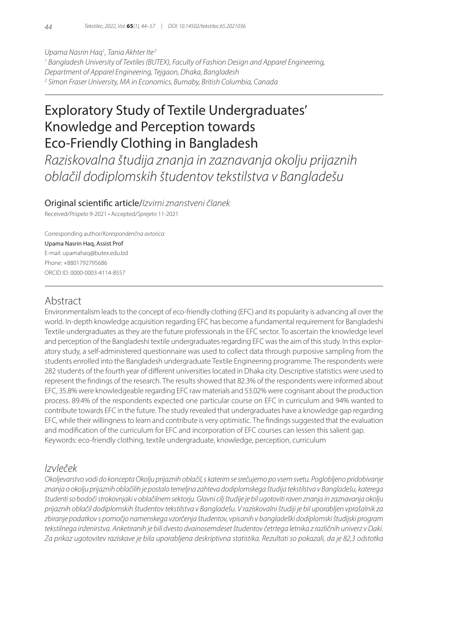*Upama Nasrin Haq1 , Tania Akhter Ite <sup>2</sup>*

*1 Bangladesh University of Textiles (BUTEX), Faculty of Fashion Design and Apparel Engineering, Department of Apparel Engineering, Tejgaon, Dhaka, Bangladesh*

*2 Simon Fraser University, MA in Economics, Burnaby, British Columbia, Canada*

# Exploratory Study of Textile Undergraduates' Knowledge and Perception towards Eco-Friendly Clothing in Bangladesh

*Raziskovalna študija znanja in zaznavanja okolju prijaznih oblačil dodiplomskih študentov tekstilstva v Bangladešu*

### Original scientific article/*Izvirni znanstveni članek*

Received/*Prispelo* 9-2021 • Accepted/*Sprejeto* 11-2021

Corresponding author/*Korespondenčna avtorica:*

#### Upama Nasrin Haq, Assist Prof

E-mail: upamahaq@butex.edu.bd Phone: +8801792795686 ORCID ID: 0000-0003-4114-8557

# Abstract

Environmentalism leads to the concept of eco-friendly clothing (EFC) and its popularity is advancing all over the world. In-depth knowledge acquisition regarding EFC has become a fundamental requirement for Bangladeshi Textile undergraduates as they are the future professionals in the EFC sector. To ascertain the knowledge level and perception of the Bangladeshi textile undergraduates regarding EFC was the aim of this study. In this exploratory study, a self-administered questionnaire was used to collect data through purposive sampling from the students enrolled into the Bangladesh undergraduate Textile Engineering programme. The respondents were 282 students of the fourth year of different universities located in Dhaka city. Descriptive statistics were used to represent the findings of the research. The results showed that 82.3% of the respondents were informed about EFC, 35.8% were knowledgeable regarding EFC raw materials and 53.02% were cognisant about the production process. 89.4% of the respondents expected one particular course on EFC in curriculum and 94% wanted to contribute towards EFC in the future. The study revealed that undergraduates have a knowledge gap regarding EFC, while their willingness to learn and contribute is very optimistic. The findings suggested that the evaluation and modification of the curriculum for EFC and incorporation of EFC courses can lessen this salient gap. Keywords: eco-friendly clothing, textile undergraduate, knowledge, perception, curriculum

### *Izvleček*

*Okoljevarstvo vodi do koncepta Okolju prijaznih oblačil, s katerim se srečujemo po vsem svetu. Poglobljeno pridobivanje znanja o okolju prijaznih oblačilih je postalo temeljna zahteva dodiplomskega študija tekstilstva v Bangladešu, katerega študenti so bodoči strokovnjaki v oblačilnem sektorju. Glavni cilj študije je bil ugotoviti raven znanja in zaznavanja okolju prijaznih oblačil dodiplomskih študentov tekstilstva v Bangladešu. V raziskovalni študiji je bil uporabljen vprašalnik za zbiranje podatkov s pomočjo namenskega vzorčenja študentov, vpisanih v bangladeški dodiplomski študijski program tekstilnega inženirstva. Anketiranih je bili dvesto dvainosemdeset študentov četrtega letnika z različnih univerz v Daki. Za prikaz ugotovitev raziskave je bila uporabljena deskriptivna statistika. Rezultati so pokazali, da je 82,3 odstotka*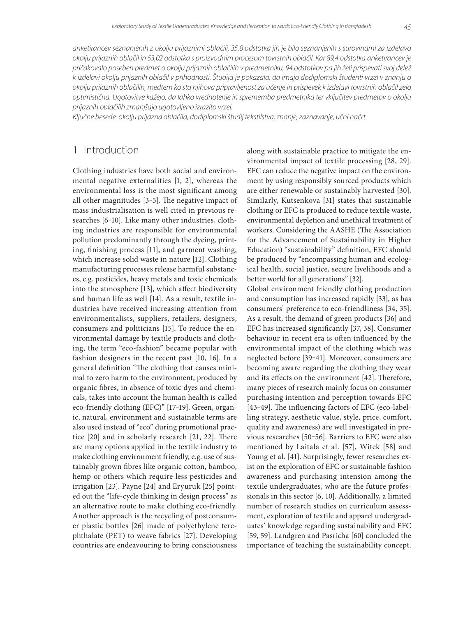*anketirancev seznanjenih z okolju prijaznimi oblačili, 35,8 odstotka jih je bilo seznanjenih s surovinami za izdelavo okolju prijaznih oblačil in 53,02 odstotka s proizvodnim procesom tovrstnih oblačil. Kar 89,4 odstotka anketirancev je pričakovalo poseben predmet o okolju prijaznih oblačilih v predmetniku, 94 odstotkov pa jih želi prispevati svoj delež k izdelavi okolju prijaznih oblačil v prihodnosti. Študija je pokazala, da imajo dodiplomski študenti vrzel v znanju o okolju prijaznih oblačilih, medtem ko sta njihova pripravljenost za učenje in prispevek k izdelavi tovrstnih oblačil zelo optimistična. Ugotovitve kažejo, da lahko vrednotenje in sprememba predmetnika ter vključitev predmetov o okolju prijaznih oblačilih zmanjšajo ugotovljeno izrazito vrzel.*

*Ključne besede: okolju prijazna oblačila, dodiplomski študij tekstilstva, znanje, zaznavanje, učni načrt*

### 1 Introduction

Clothing industries have both social and environmental negative externalities [1, 2], whereas the environmental loss is the most significant among all other magnitudes [3-5]. The negative impact of mass industrialisation is well cited in previous researches [6-10]. Like many other industries, clothing industries are responsible for environmental pollution predominantly through the dyeing, printing, finishing process [11], and garment washing, which increase solid waste in nature [12]. Clothing manufacturing processes release harmful substances, e.g. pesticides, heavy metals and toxic chemicals into the atmosphere [13], which affect biodiversity and human life as well [14]. As a result, textile industries have received increasing attention from environmentalists, suppliers, retailers, designers, consumers and politicians [15]. To reduce the environmental damage by textile products and clothing, the term "eco-fashion" became popular with fashion designers in the recent past [10, 16]. In a general definition "The clothing that causes minimal to zero harm to the environment, produced by organic fibres, in absence of toxic dyes and chemicals, takes into account the human health is called eco-friendly clothing (EFC)" [17-19]. Green, organic, natural, environment and sustainable terms are also used instead of "eco" during promotional practice [20] and in scholarly research [21, 22]. There are many options applied in the textile industry to make clothing environment friendly, e.g. use of sustainably grown fibres like organic cotton, bamboo, hemp or others which require less pesticides and irrigation [23]. Payne [24] and Eryuruk [25] pointed out the "life-cycle thinking in design process" as an alternative route to make clothing eco-friendly. Another approach is the recycling of postconsumer plastic bottles [26] made of polyethylene terephthalate (PET) to weave fabrics [27]. Developing countries are endeavouring to bring consciousness

along with sustainable practice to mitigate the environmental impact of textile processing [28, 29]. EFC can reduce the negative impact on the environment by using responsibly sourced products which are either renewable or sustainably harvested [30]. Similarly, Kutsenkova [31] states that sustainable clothing or EFC is produced to reduce textile waste, environmental depletion and unethical treatment of workers. Considering the AASHE (The Association for the Advancement of Sustainability in Higher Education) "sustainability" definition, EFC should be produced by "encompassing human and ecological health, social justice, secure livelihoods and a better world for all generations" [32].

Global environment friendly clothing production and consumption has increased rapidly [33], as has consumers' preference to eco-friendliness [34, 35]. As a result, the demand of green products [36] and EFC has increased significantly [37, 38]. Consumer behaviour in recent era is often influenced by the environmental impact of the clothing which was neglected before [39‒41]. Moreover, consumers are becoming aware regarding the clothing they wear and its effects on the environment [42]. Therefore, many pieces of research mainly focus on consumer purchasing intention and perception towards EFC [43-49]. The influencing factors of EFC (eco-labelling strategy, aesthetic value, style, price, comfort, quality and awareness) are well investigated in previous researches [50-56]. Barriers to EFC were also mentioned by Laitala et al. [57], Witek [58] and Young et al. [41]. Surprisingly, fewer researches exist on the exploration of EFC or sustainable fashion awareness and purchasing intension among the textile undergraduates, who are the future professionals in this sector [6, 10]. Additionally, a limited number of research studies on curriculum assessment, exploration of textile and apparel undergraduates' knowledge regarding sustainability and EFC [59, 59]. Landgren and Pasricha [60] concluded the importance of teaching the sustainability concept.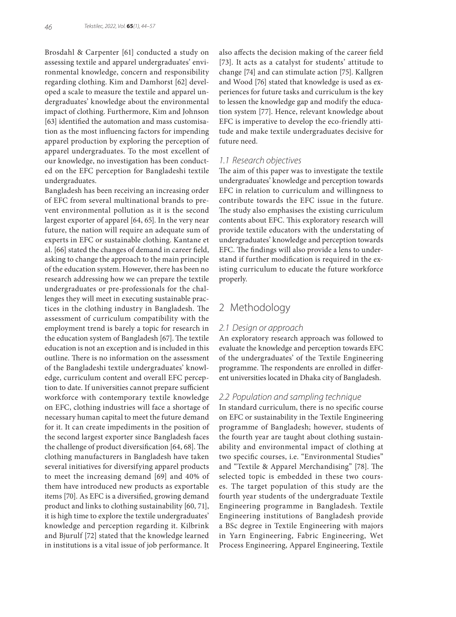Brosdahl & Carpenter [61] conducted a study on assessing textile and apparel undergraduates' environmental knowledge, concern and responsibility regarding clothing. Kim and Damhorst [62] developed a scale to measure the textile and apparel undergraduates' knowledge about the environmental impact of clothing. Furthermore, Kim and Johnson [63] identified the automation and mass customisation as the most influencing factors for impending apparel production by exploring the perception of apparel undergraduates. To the most excellent of our knowledge, no investigation has been conducted on the EFC perception for Bangladeshi textile undergraduates.

Bangladesh has been receiving an increasing order of EFC from several multinational brands to prevent environmental pollution as it is the second largest exporter of apparel [64, 65]. In the very near future, the nation will require an adequate sum of experts in EFC or sustainable clothing. Kantane et al. [66] stated the changes of demand in career field, asking to change the approach to the main principle of the education system. However, there has been no research addressing how we can prepare the textile undergraduates or pre-professionals for the challenges they will meet in executing sustainable practices in the clothing industry in Bangladesh. The assessment of curriculum compatibility with the employment trend is barely a topic for research in the education system of Bangladesh [67]. The textile education is not an exception and is included in this outline. There is no information on the assessment of the Bangladeshi textile undergraduates' knowledge, curriculum content and overall EFC perception to date. If universities cannot prepare sufficient workforce with contemporary textile knowledge on EFC, clothing industries will face a shortage of necessary human capital to meet the future demand for it. It can create impediments in the position of the second largest exporter since Bangladesh faces the challenge of product diversification [64, 68]. The clothing manufacturers in Bangladesh have taken several initiatives for diversifying apparel products to meet the increasing demand [69] and 40% of them have introduced new products as exportable items [70]. As EFC is a diversified, growing demand product and links to clothing sustainability [60, 71], it is high time to explore the textile undergraduates' knowledge and perception regarding it. Kilbrink and Bjurulf [72] stated that the knowledge learned in institutions is a vital issue of job performance. It

also affects the decision making of the career field [73]. It acts as a catalyst for students' attitude to change [74] and can stimulate action [75]. Kallgren and Wood [76] stated that knowledge is used as experiences for future tasks and curriculum is the key to lessen the knowledge gap and modify the education system [77]. Hence, relevant knowledge about EFC is imperative to develop the eco-friendly attitude and make textile undergraduates decisive for future need.

#### *1.1 Research objectives*

The aim of this paper was to investigate the textile undergraduates' knowledge and perception towards EFC in relation to curriculum and willingness to contribute towards the EFC issue in the future. The study also emphasises the existing curriculum contents about EFC. This exploratory research will provide textile educators with the understating of undergraduates' knowledge and perception towards EFC. The findings will also provide a lens to understand if further modification is required in the existing curriculum to educate the future workforce properly.

# 2 Methodology

#### *2.1 Design or approach*

An exploratory research approach was followed to evaluate the knowledge and perception towards EFC of the undergraduates' of the Textile Engineering programme. The respondents are enrolled in different universities located in Dhaka city of Bangladesh.

### *2.2 Population and sampling technique*

In standard curriculum, there is no specific course on EFC or sustainability in the Textile Engineering programme of Bangladesh; however, students of the fourth year are taught about clothing sustainability and environmental impact of clothing at two specific courses, i.e. "Environmental Studies" and "Textile & Apparel Merchandising" [78]. The selected topic is embedded in these two courses. The target population of this study are the fourth year students of the undergraduate Textile Engineering programme in Bangladesh. Textile Engineering institutions of Bangladesh provide a BSc degree in Textile Engineering with majors in Yarn Engineering, Fabric Engineering, Wet Process Engineering, Apparel Engineering, Textile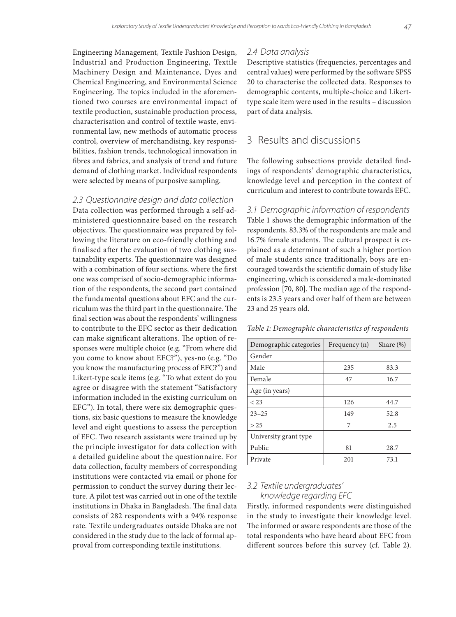Engineering Management, Textile Fashion Design, Industrial and Production Engineering, Textile Machinery Design and Maintenance, Dyes and Chemical Engineering, and Environmental Science Engineering. The topics included in the aforementioned two courses are environmental impact of textile production, sustainable production process, characterisation and control of textile waste, environmental law, new methods of automatic process control, overview of merchandising, key responsibilities, fashion trends, technological innovation in fibres and fabrics, and analysis of trend and future demand of clothing market. Individual respondents were selected by means of purposive sampling.

#### *2.3 Questionnaire design and data collection*

Data collection was performed through a self-administered questionnaire based on the research objectives. The questionnaire was prepared by following the literature on eco-friendly clothing and finalised after the evaluation of two clothing sustainability experts. The questionnaire was designed with a combination of four sections, where the first one was comprised of socio-demographic information of the respondents, the second part contained the fundamental questions about EFC and the curriculum was the third part in the questionnaire. The final section was about the respondents' willingness to contribute to the EFC sector as their dedication can make significant alterations. The option of responses were multiple choice (e.g. "From where did you come to know about EFC?"), yes-no (e.g. "Do you know the manufacturing process of EFC?") and Likert-type scale items (e.g. "To what extent do you agree or disagree with the statement "Satisfactory information included in the existing curriculum on EFC"). In total, there were six demographic questions, six basic questions to measure the knowledge level and eight questions to assess the perception of EFC. Two research assistants were trained up by the principle investigator for data collection with a detailed guideline about the questionnaire. For data collection, faculty members of corresponding institutions were contacted via email or phone for permission to conduct the survey during their lecture. A pilot test was carried out in one of the textile institutions in Dhaka in Bangladesh. The final data consists of 282 respondents with a 94% response rate. Textile undergraduates outside Dhaka are not considered in the study due to the lack of formal approval from corresponding textile institutions.

#### *2.4 Data analysis*

Descriptive statistics (frequencies, percentages and central values) were performed by the software SPSS 20 to characterise the collected data. Responses to demographic contents, multiple-choice and Likerttype scale item were used in the results – discussion part of data analysis.

# 3 Results and discussions

The following subsections provide detailed findings of respondents' demographic characteristics, knowledge level and perception in the context of curriculum and interest to contribute towards EFC.

*3.1 Demographic information of respondents* Table 1 shows the demographic information of the respondents. 83.3% of the respondents are male and 16.7% female students. The cultural prospect is explained as a determinant of such a higher portion of male students since traditionally, boys are encouraged towards the scientific domain of study like engineering, which is considered a male-dominated profession [70, 80]. The median age of the respondents is 23.5 years and over half of them are between 23 and 25 years old.

*Table 1: Demographic characteristics of respondents*

| Demographic categories | Frequency (n) | Share $(\%)$ |
|------------------------|---------------|--------------|
| Gender                 |               |              |
| Male                   | 235           | 83.3         |
| Female                 | 47            | 16.7         |
| Age (in years)         |               |              |
| < 23                   | 126           | 44.7         |
| $23 - 25$              | 149           | 52.8         |
| > 25                   | 7             | 2.5          |
| University grant type  |               |              |
| Public                 | 81            | 28.7         |
| Private                | 201           | 73.1         |

### *3.2 Textile undergraduates' knowledge regarding EFC*

Firstly, informed respondents were distinguished in the study to investigate their knowledge level. The informed or aware respondents are those of the total respondents who have heard about EFC from different sources before this survey (cf. Table 2).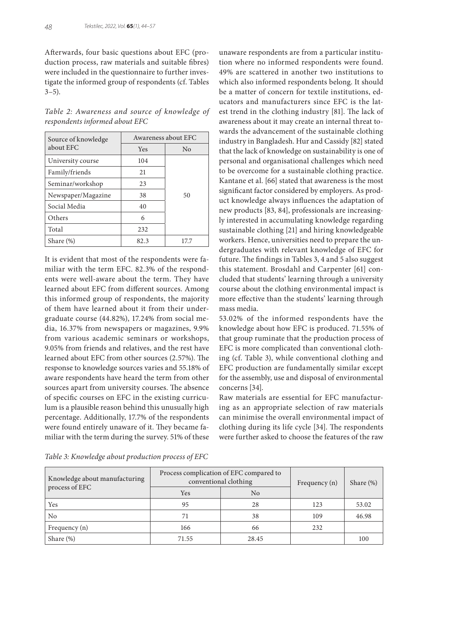Afterwards, four basic questions about EFC (production process, raw materials and suitable fibres) were included in the questionnaire to further investigate the informed group of respondents (cf. Tables  $3 - 5$ ).

*Table 2: Awareness and source of knowledge of respondents informed about EFC*

| Source of knowledge |      | Awareness about EFC |
|---------------------|------|---------------------|
| about EFC           | Yes  | No                  |
| University course   | 104  |                     |
| Family/friends      | 21   |                     |
| Seminar/workshop    | 23   |                     |
| Newspaper/Magazine  | 38   | 50                  |
| Social Media        | 40   |                     |
| Others              | 6    |                     |
| Total               | 232  |                     |
| Share $(\%)$        | 82.3 | 17.7                |

It is evident that most of the respondents were familiar with the term EFC. 82.3% of the respondents were well-aware about the term. They have learned about EFC from different sources. Among this informed group of respondents, the majority of them have learned about it from their undergraduate course (44.82%), 17.24% from social media, 16.37% from newspapers or magazines, 9.9% from various academic seminars or workshops, 9.05% from friends and relatives, and the rest have learned about EFC from other sources (2.57%). The response to knowledge sources varies and 55.18% of aware respondents have heard the term from other sources apart from university courses. The absence of specific courses on EFC in the existing curriculum is a plausible reason behind this unusually high percentage. Additionally, 17.7% of the respondents were found entirely unaware of it. They became familiar with the term during the survey. 51% of these

*Table 3: Knowledge about production process of EFC*

unaware respondents are from a particular institution where no informed respondents were found. 49% are scattered in another two institutions to which also informed respondents belong. It should be a matter of concern for textile institutions, educators and manufacturers since EFC is the latest trend in the clothing industry [81]. The lack of awareness about it may create an internal threat towards the advancement of the sustainable clothing industry in Bangladesh. Hur and Cassidy [82] stated that the lack of knowledge on sustainability is one of personal and organisational challenges which need to be overcome for a sustainable clothing practice. Kantane et al. [66] stated that awareness is the most significant factor considered by employers. As product knowledge always influences the adaptation of new products [83, 84], professionals are increasingly interested in accumulating knowledge regarding sustainable clothing [21] and hiring knowledgeable workers. Hence, universities need to prepare the undergraduates with relevant knowledge of EFC for future. The findings in Tables 3, 4 and 5 also suggest this statement. Brosdahl and Carpenter [61] concluded that students' learning through a university course about the clothing environmental impact is more effective than the students' learning through mass media.

53.02% of the informed respondents have the knowledge about how EFC is produced. 71.55% of that group ruminate that the production process of EFC is more complicated than conventional clothing (cf. Table 3), while conventional clothing and EFC production are fundamentally similar except for the assembly, use and disposal of environmental concerns [34].

Raw materials are essential for EFC manufacturing as an appropriate selection of raw materials can minimise the overall environmental impact of clothing during its life cycle [34]. The respondents were further asked to choose the features of the raw

Knowledge about manufacturing process of EFC Process complication of EFC compared to

| Knowledge about manufacturing | Process complication of EFC compared to<br>conventional clothing | Frequency $(n)$ | Share $(\%)$ |       |
|-------------------------------|------------------------------------------------------------------|-----------------|--------------|-------|
| process of EFC                | Yes                                                              | No              |              |       |
| Yes                           | 95                                                               | 28              | 123          | 53.02 |
| No                            |                                                                  | 38              | 109          | 46.98 |
| Frequency (n)                 | 166                                                              | 66              | 232          |       |
| Share $(\%)$                  | 71.55                                                            | 28.45           |              | 100   |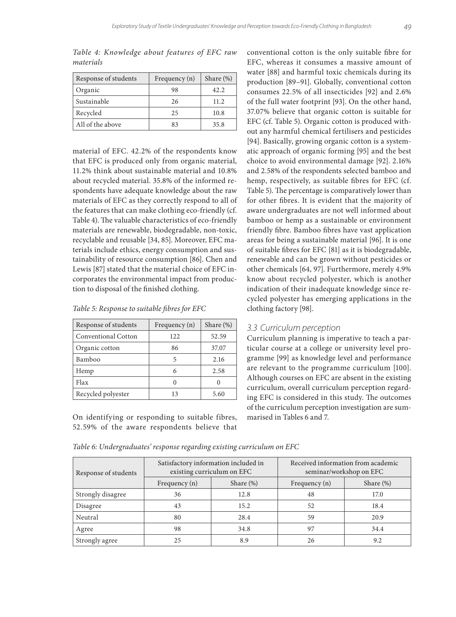| Response of students | Frequency $(n)$ | Share $(\%)$ |
|----------------------|-----------------|--------------|
| Organic              | 98              | 42.2.        |
| Sustainable          | 26              | 11.2         |
| Recycled             | 25              | 10.8         |
| All of the above     |                 | 35.8         |

*Table 4: Knowledge about features of EFC raw materials*

material of EFC. 42.2% of the respondents know that EFC is produced only from organic material, 11.2% think about sustainable material and 10.8% about recycled material. 35.8% of the informed respondents have adequate knowledge about the raw materials of EFC as they correctly respond to all of the features that can make clothing eco-friendly (cf. Table 4). The valuable characteristics of eco-friendly materials are renewable, biodegradable, non-toxic, recyclable and reusable [34, 85]. Moreover, EFC materials include ethics, energy consumption and sustainability of resource consumption [86]. Chen and Lewis [87] stated that the material choice of EFC incorporates the environmental impact from production to disposal of the finished clothing.

|  |  |  |  |  |  | Table 5: Response to suitable fibres for EFC |  |  |  |  |  |  |
|--|--|--|--|--|--|----------------------------------------------|--|--|--|--|--|--|
|--|--|--|--|--|--|----------------------------------------------|--|--|--|--|--|--|

| Response of students | Frequency (n) | Share $(\%)$ |
|----------------------|---------------|--------------|
| Conventional Cotton  | 122           | 52.59        |
| Organic cotton       | 86            | 37.07        |
| Bamboo               | 5             | 2.16         |
| Hemp                 | 6             | 2.58         |
| Flax                 |               |              |
| Recycled polyester   | 13            | 5.60         |

On identifying or responding to suitable fibres, 52.59% of the aware respondents believe that conventional cotton is the only suitable fibre for EFC, whereas it consumes a massive amount of water [88] and harmful toxic chemicals during its production [89–91]. Globally, conventional cotton consumes 22.5% of all insecticides [92] and 2.6% of the full water footprint [93]. On the other hand, 37.07% believe that organic cotton is suitable for EFC (cf. Table 5). Organic cotton is produced without any harmful chemical fertilisers and pesticides [94]. Basically, growing organic cotton is a systematic approach of organic forming [95] and the best choice to avoid environmental damage [92]. 2.16% and 2.58% of the respondents selected bamboo and hemp, respectively, as suitable fibres for EFC (cf. Table 5). The percentage is comparatively lower than for other fibres. It is evident that the majority of aware undergraduates are not well informed about bamboo or hemp as a sustainable or environment friendly fibre. Bamboo fibres have vast application areas for being a sustainable material [96]. It is one of suitable fibres for EFC [81] as it is biodegradable, renewable and can be grown without pesticides or other chemicals [64, 97]. Furthermore, merely 4.9% know about recycled polyester, which is another indication of their inadequate knowledge since recycled polyester has emerging applications in the clothing factory [98].

### *3.3 Curriculum perception*

Curriculum planning is imperative to teach a particular course at a college or university level programme [99] as knowledge level and performance are relevant to the programme curriculum [100]. Although courses on EFC are absent in the existing curriculum, overall curriculum perception regarding EFC is considered in this study. The outcomes of the curriculum perception investigation are summarised in Tables 6 and 7.

| Response of students |                 | Satisfactory information included in<br>existing curriculum on EFC | Received information from academic<br>seminar/workshop on EFC |              |  |
|----------------------|-----------------|--------------------------------------------------------------------|---------------------------------------------------------------|--------------|--|
|                      | Frequency $(n)$ | Share $(\%)$                                                       | Frequency $(n)$                                               | Share $(\%)$ |  |
| Strongly disagree    | 36              | 12.8                                                               | 48                                                            | 17.0         |  |
| Disagree             | 43              | 15.2                                                               | 52                                                            | 18.4         |  |
| Neutral              | 80              | 28.4                                                               | 59                                                            | 20.9         |  |
| Agree                | 98              | 34.8                                                               | 97                                                            | 34.4         |  |
| Strongly agree       | 25              | 8.9                                                                | 26                                                            | 9.2          |  |

*Table 6: Undergraduates' response regarding existing curriculum on EFC*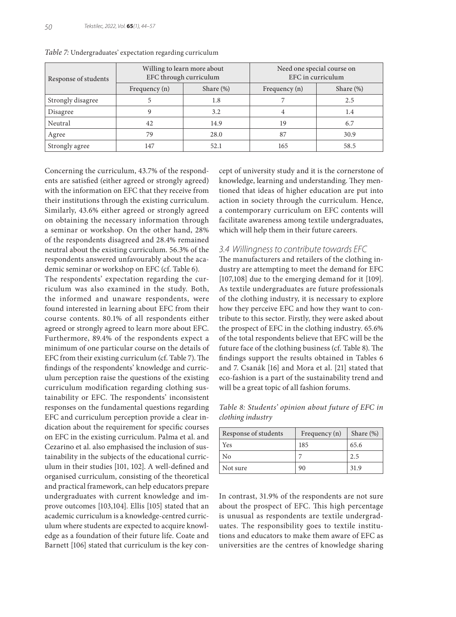| Response of students |               | Willing to learn more about<br>EFC through curriculum | Need one special course on<br>EFC in curriculum |              |  |
|----------------------|---------------|-------------------------------------------------------|-------------------------------------------------|--------------|--|
|                      | Frequency (n) | Share $(\%)$                                          | Frequency $(n)$                                 | Share $(\%)$ |  |
| Strongly disagree    |               | 1.8                                                   |                                                 | 2.5          |  |
| Disagree             | 9             | 3.2                                                   | 4                                               | 1.4          |  |
| Neutral              | 42            | 14.9                                                  | 19                                              | 6.7          |  |
| Agree                | 79            | 28.0                                                  | 87                                              | 30.9         |  |
| Strongly agree       | 147           | 52.1                                                  | 165                                             | 58.5         |  |

*Table 7:* Undergraduates' expectation regarding curriculum

Concerning the curriculum, 43.7% of the respondents are satisfied (either agreed or strongly agreed) with the information on EFC that they receive from their institutions through the existing curriculum. Similarly, 43.6% either agreed or strongly agreed on obtaining the necessary information through a seminar or workshop. On the other hand, 28% of the respondents disagreed and 28.4% remained neutral about the existing curriculum. 56.3% of the respondents answered unfavourably about the academic seminar or workshop on EFC (cf. Table 6).

The respondents' expectation regarding the curriculum was also examined in the study. Both, the informed and unaware respondents, were found interested in learning about EFC from their course contents. 80.1% of all respondents either agreed or strongly agreed to learn more about EFC. Furthermore, 89.4% of the respondents expect a minimum of one particular course on the details of EFC from their existing curriculum (cf. Table 7). The findings of the respondents' knowledge and curriculum perception raise the questions of the existing curriculum modification regarding clothing sustainability or EFC. The respondents' inconsistent responses on the fundamental questions regarding EFC and curriculum perception provide a clear indication about the requirement for specific courses on EFC in the existing curriculum. Palma et al. and Cezarino et al. also emphasised the inclusion of sustainability in the subjects of the educational curriculum in their studies [101, 102]. A well-defined and organised curriculum, consisting of the theoretical and practical framework, can help educators prepare undergraduates with current knowledge and improve outcomes [103,104]. Ellis [105] stated that an academic curriculum is a knowledge-centred curriculum where students are expected to acquire knowledge as a foundation of their future life. Coate and Barnett [106] stated that curriculum is the key concept of university study and it is the cornerstone of knowledge, learning and understanding. They mentioned that ideas of higher education are put into action in society through the curriculum. Hence, a contemporary curriculum on EFC contents will facilitate awareness among textile undergraduates, which will help them in their future careers.

### *3.4 Willingness to contribute towards EFC*

The manufacturers and retailers of the clothing industry are attempting to meet the demand for EFC [107,108] due to the emerging demand for it [109]. As textile undergraduates are future professionals of the clothing industry, it is necessary to explore how they perceive EFC and how they want to contribute to this sector. Firstly, they were asked about the prospect of EFC in the clothing industry. 65.6% of the total respondents believe that EFC will be the future face of the clothing business (cf. Table 8). The findings support the results obtained in Tables 6 and 7. Csanák [16] and Mora et al. [21] stated that eco-fashion is a part of the sustainability trend and will be a great topic of all fashion forums.

*Table 8: Students' opinion about future of EFC in clothing industry*

| Response of students | Frequency $(n)$ | Share $(\%)$ |
|----------------------|-----------------|--------------|
| Yes                  | 185             | 65.6         |
| Nο                   |                 | 2.5          |
| Not sure             | 90              | 31.9         |

In contrast, 31.9% of the respondents are not sure about the prospect of EFC. This high percentage is unusual as respondents are textile undergraduates. The responsibility goes to textile institutions and educators to make them aware of EFC as universities are the centres of knowledge sharing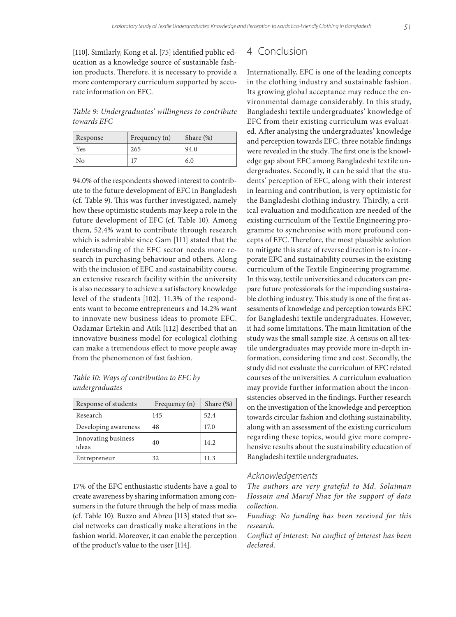[110]. Similarly, Kong et al. [75] identified public education as a knowledge source of sustainable fashion products. Therefore, it is necessary to provide a more contemporary curriculum supported by accurate information on EFC.

*Table 9: Undergraduates' willingness to contribute towards EFC*

| Response | Frequency (n) | Share $(\%)$ |
|----------|---------------|--------------|
| Yes      | 265           | 94.0         |
| No       |               | 6.0          |

94.0% of the respondents showed interest to contribute to the future development of EFC in Bangladesh (cf. Table 9). This was further investigated, namely how these optimistic students may keep a role in the future development of EFC (cf. Table 10). Among them, 52.4% want to contribute through research which is admirable since Gam [111] stated that the understanding of the EFC sector needs more research in purchasing behaviour and others. Along with the inclusion of EFC and sustainability course, an extensive research facility within the university is also necessary to achieve a satisfactory knowledge level of the students [102]. 11.3% of the respondents want to become entrepreneurs and 14.2% want to innovate new business ideas to promote EFC. Ozdamar Ertekin and Atik [112] described that an innovative business model for ecological clothing can make a tremendous effect to move people away from the phenomenon of fast fashion.

*Table 10: Ways of contribution to EFC by undergraduates*

| Response of students         | Frequency (n) | Share $(\%)$ |
|------------------------------|---------------|--------------|
| Research                     | 145           | 52.4         |
| Developing awareness         | 48            | 17.0         |
| Innovating business<br>ideas | 40            | 14.2.        |
| Entrepreneur                 | 32            | 11.3         |

17% of the EFC enthusiastic students have a goal to create awareness by sharing information among consumers in the future through the help of mass media (cf. Table 10). Buzzo and Abreu [113] stated that social networks can drastically make alterations in the fashion world. Moreover, it can enable the perception of the product's value to the user [114].

# 4 Conclusion

Internationally, EFC is one of the leading concepts in the clothing industry and sustainable fashion. Its growing global acceptance may reduce the environmental damage considerably. In this study, Bangladeshi textile undergraduates' knowledge of EFC from their existing curriculum was evaluated. After analysing the undergraduates' knowledge and perception towards EFC, three notable findings were revealed in the study. The first one is the knowledge gap about EFC among Bangladeshi textile undergraduates. Secondly, it can be said that the students' perception of EFC, along with their interest in learning and contribution, is very optimistic for the Bangladeshi clothing industry. Thirdly, a critical evaluation and modification are needed of the existing curriculum of the Textile Engineering programme to synchronise with more profound concepts of EFC. Therefore, the most plausible solution to mitigate this state of reverse direction is to incorporate EFC and sustainability courses in the existing curriculum of the Textile Engineering programme. In this way, textile universities and educators can prepare future professionals for the impending sustainable clothing industry. This study is one of the first assessments of knowledge and perception towards EFC for Bangladeshi textile undergraduates. However, it had some limitations. The main limitation of the study was the small sample size. A census on all textile undergraduates may provide more in-depth information, considering time and cost. Secondly, the study did not evaluate the curriculum of EFC related courses of the universities. A curriculum evaluation may provide further information about the inconsistencies observed in the findings. Further research on the investigation of the knowledge and perception towards circular fashion and clothing sustainability, along with an assessment of the existing curriculum regarding these topics, would give more comprehensive results about the sustainability education of Bangladeshi textile undergraduates.

### *Acknowledgements*

*The authors are very grateful to Md. Solaiman Hossain and Maruf Niaz for the support of data collection.*

*Funding: No funding has been received for this research.*

*Conflict of interest: No conflict of interest has been declared.*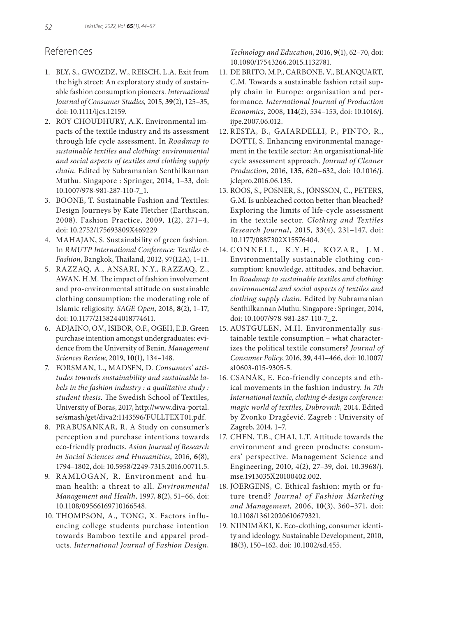# References

- 1. BLY, S., GWOZDZ, W., REISCH, L.A. Exit from the high street: An exploratory study of sustainable fashion consumption pioneers. *International Journal of Consumer Studies,* 2015, **39**(2), 125–35, doi: 10.1111/ijcs.12159.
- 2. ROY CHOUDHURY, A.K. Environmental impacts of the textile industry and its assessment through life cycle assessment. In *Roadmap to sustainable textiles and clothing: environmental and social aspects of textiles and clothing supply chain*. Edited by Subramanian Senthilkannan Muthu. Singapore : Springer, 2014, 1–33, doi: 10.1007/978-981-287-110-7\_1.
- 3. BOONE, T. Sustainable Fashion and Textiles: Design Journeys by Kate Fletcher (Earthscan, 2008). Fashion Practice, 2009, **1**(2), 271–4, doi: 10.2752/175693809X469229
- 4. MAHAJAN, S. Sustainability of green fashion. In *RMUTP International Conference: Textiles & Fashion*, Bangkok, Thailand, 2012, 97(12A), 1–11.
- 5. RAZZAQ, A., ANSARI, N.Y., RAZZAQ, Z., AWAN, H.M. The impact of fashion involvement and pro-environmental attitude on sustainable clothing consumption: the moderating role of Islamic religiosity. *SAGE Open*, 2018, **8**(2), 1–17, doi: 10.1177/2158244018774611.
- 6. ADJAINO, O.V., ISIBOR, O.F., OGEH, E.B. Green purchase intention amongst undergraduates: evidence from the University of Benin. *Management Sciences Review*, 2019, **10**(1), 134–148.
- 7. FORSMAN, L., MADSEN, D. *Consumers' attitudes towards sustainability and sustainable labels in the fashion industry : a qualitative study : student thesis*. The Swedish School of Textiles, University of Boras, 2017, http://www.diva-portal. se/smash/get/diva2:1143596/FULLTEXT01.pdf.
- 8. PRABUSANKAR, R. A Study on consumer's perception and purchase intentions towards eco-friendly products. *Asian Journal of Research in Social Sciences and Humanities*, 2016, **6**(8), 1794–1802, doi: 10.5958/2249-7315.2016.00711.5.
- 9. RAMLOGAN, R. Environment and human health: a threat to all. *Environmental Management and Health*, 1997, **8**(2), 51–66, doi: 10.1108/09566169710166548.
- 10. THOMPSON, A., TONG, X. Factors influencing college students purchase intention towards Bamboo textile and apparel products. *International Journal of Fashion Design,*

*Technology and Education*, 2016, **9**(1), 62–70, doi: 10.1080/17543266.2015.1132781.

- 11. DE BRITO, M.P., CARBONE, V., BLANQUART, C.M. Towards a sustainable fashion retail supply chain in Europe: organisation and performance. *International Journal of Production Economics*, 2008, **114**(2), 534–153, doi: 10.1016/j. ijpe.2007.06.012.
- 12. RESTA, B., GAIARDELLI, P., PINTO, R., DOTTI, S. Enhancing environmental management in the textile sector: An organisational-life cycle assessment approach. *Journal of Cleaner Production*, 2016, **135**, 620–632, doi: 10.1016/j. jclepro.2016.06.135.
- 13. ROOS, S., POSNER, S., JÖNSSON, C., PETERS, G.M. Is unbleached cotton better than bleached? Exploring the limits of life-cycle assessment in the textile sector. *Clothing and Textiles Research Journal*, 2015, **33**(4), 231–147, doi: 10.1177/0887302X15576404.
- 14. CONNELL, K.Y.H., KOZAR, J.M. Environmentally sustainable clothing consumption: knowledge, attitudes, and behavior. In *Roadmap to sustainable textiles and clothing: environmental and social aspects of textiles and clothing supply chain*. Edited by Subramanian Senthilkannan Muthu. Singapore : Springer, 2014, doi: 10.1007/978-981-287-110-7\_2.
- 15. AUSTGULEN, M.H. Environmentally sustainable textile consumption – what characterizes the political textile consumers? *Journal of Consumer Policy*, 2016, **39**, 441–466, doi: 10.1007/ s10603-015-9305-5.
- 16. CSANÁK, E. Eco-friendly concepts and ethical movements in the fashion industry. *In 7th International textile, clothing & design conference: magic world of textiles, Dubrovnik*, 2014. Edited by Zvonko Dragčević. Zagreb : University of Zagreb, 2014, 1–7.
- 17. CHEN, T.B., CHAI, L.T. Attitude towards the environment and green products: consumers' perspective. Management Science and Engineering, 2010, 4(2), 27–39, doi. 10.3968/j. mse.1913035X20100402.002.
- 18. JOERGENS, C. Ethical fashion: myth or future trend? *Journal of Fashion Marketing and Management,* 2006, **10**(3), 360–371, doi: 10.1108/13612020610679321.
- 19. NIINIMÄKI, K. Eco-clothing, consumer identity and ideology. Sustainable Development, 2010, **18**(3), 150–162, doi: 10.1002/sd.455.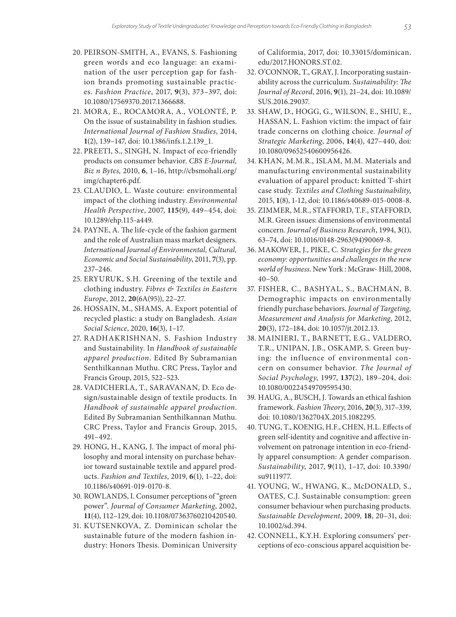- 20. PEIRSON-SMITH, A., EVANS, S. Fashioning green words and eco language: an examination of the user perception gap for fashion brands promoting sustainable practices. *Fashion Practice*, 2017, **9**(3), 373–397, doi: 10.1080/17569370.2017.1366688.
- 21. MORA, E., ROCAMORA, A., VOLONTÉ, P. On the issue of sustainability in fashion studies. *International Journal of Fashion Studies*, 2014, **1**(2), 139–147, doi: 10.1386/infs.1.2.139\_1.
- 22. PREETI, S., SINGH, N. Impact of eco-friendly products on consumer behavior. *CBS E-Journal, Biz n Bytes,* 2010, **6**, 1–16, http://cbsmohali.org/ img/chapter6.pdf.
- 23. CLAUDIO, L. Waste couture: environmental impact of the clothing industry. *Environmental Health Perspective*, 2007, **115**(9), 449–454, doi: 10.1289/ehp.115-a449.
- 24. PAYNE, A. The life-cycle of the fashion garment and the role of Australian mass market designers. *International Journal of Environmental, Cultural, Economic and Social Sustainability*, 2011, **7**(3), pp. 237–246.
- 25. ERYURUK, S.H. Greening of the textile and clothing industry. *Fibres & Textiles in Eastern Europe*, 2012, **20**(6A(95)), 22–27.
- 26. HOSSAIN, M., SHAMS, A. Export potential of recycled plastic: a study on Bangladesh. *Asian Social Science*, 2020, **16**(3), 1–17.
- 27. RADHAKRISHNAN, S. Fashion Industry and Sustainability. In *Handbook of sustainable apparel production*. Edited By Subramanian Senthilkannan Muthu. CRC Press, Taylor and Francis Group, 2015, 522–523.
- 28. VADICHERLA, T., SARAVANAN, D. Eco design/sustainable design of textile products. In *Handbook of sustainable apparel production*. Edited By Subramanian Senthilkannan Muthu. CRC Press, Taylor and Francis Group, 2015, 491–492.
- 29. HONG, H., KANG, J. The impact of moral philosophy and moral intensity on purchase behavior toward sustainable textile and apparel products. *Fashion and Textiles*, 2019, **6**(1), 1–22, doi: 10.1186/s40691-019-0170-8.
- 30. ROWLANDS, I. Consumer perceptions of "green power". *Journal of Consumer Marketing*, 2002, **11**(4), 112–129, doi: 10.1108/07363760210420540.
- 31. KUTSENKOVA, Z. Dominican scholar the sustainable future of the modern fashion industry: Honors Thesis. Dominican University

of Califormia, 2017, doi: 10.33015/dominican. edu/2017.HONORS.ST.02.

- 32. O'CONNOR, T., GRAY, J. Incorporating sustainability across the curriculum. *Sustainability: The Journal of Record*, 2016, **9**(1), 21–24, doi: 10.1089/ SUS.2016.29037.
- 33. SHAW, D., HOGG, G., WILSON, E., SHIU, E., HASSAN, L. Fashion victim: the impact of fair trade concerns on clothing choice. *Journal of Strategic Marketing*, 2006, **14**(4), 427–440, doi: 10.1080/09652540600956426.
- 34. KHAN, M.M.R., ISLAM, M.M. Materials and manufacturing environmental sustainability evaluation of apparel product: knitted T-shirt case study. *Textiles and Clothing Sustainability*, 2015, **1**(8), 1-12, doi: 10.1186/s40689-015-0008-8.
- 35. ZIMMER, M.R., STAFFORD, T.F., STAFFORD, M.R. Green issues: dimensions of environmental concern. *Journal of Business Research*, 1994, **3**(1), 63–74, doi: 10.1016/0148-2963(94)90069-8.
- 36. MAKOWER, J., PIKE, C. *Strategies for the green economy: opportunities and challenges in the new world of business*. New York : McGraw- Hill, 2008, 40–50.
- 37. FISHER, C., BASHYAL, S., BACHMAN, B. Demographic impacts on environmentally friendly purchase behaviors. *Journal of Targeting, Measurement and Analysis for Marketing*, 2012, **20**(3), 172–184, doi: 10.1057/jt.2012.13.
- 38. MAINIERI, T., BARNETT, E.G., VALDERO, T.R., UNIPAN, J.B., OSKAMP, S. Green buying: the influence of environmental concern on consumer behavior. *The Journal of Social Psychology*, 1997, **137**(2), 189–204, doi: 10.1080/00224549709595430.
- 39. HAUG, A., BUSCH, J. Towards an ethical fashion framework. *Fashion Theory*, 2016, **20**(3), 317–339, doi: 10.1080/1362704X.2015.1082295.
- 40. TUNG, T., KOENIG, H.F., CHEN, H.L. Effects of green self-identity and cognitive and affective involvement on patronage intention in eco-friendly apparel consumption: A gender comparison. *Sustainability*, 2017, **9**(11), 1–17, doi: 10.3390/ su9111977.
- 41. YOUNG, W., HWANG, K., McDONALD, S., OATES, C.J. Sustainable consumption: green consumer behaviour when purchasing products. *Sustainable Development*, 2009, **18**, 20–31, doi: 10.1002/sd.394.
- 42. CONNELL, K.Y.H. Exploring consumers' perceptions of eco-conscious apparel acquisition be-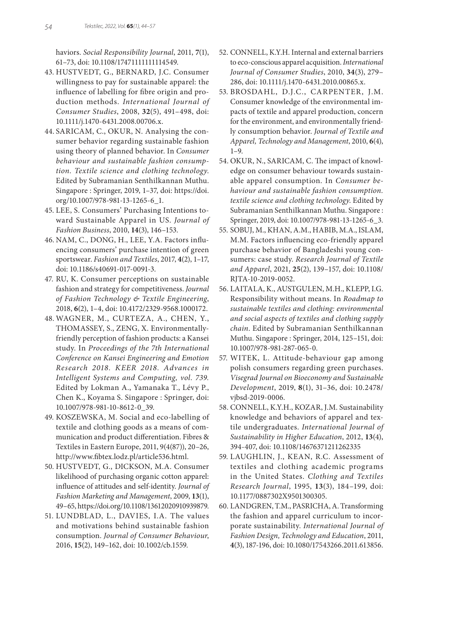haviors. *Social Responsibility Journal*, 2011, **7**(1), 61–73, doi: 10.1108/17471111111114549.

- 43. HUSTVEDT, G., BERNARD, J.C. Consumer willingness to pay for sustainable apparel: the influence of labelling for fibre origin and production methods. *International Journal of Consumer Studies*, 2008, **32**(5), 491–498, doi: 10.1111/j.1470-6431.2008.00706.x.
- 44. SARICAM, C., OKUR, N. Analysing the consumer behavior regarding sustainable fashion using theory of planned behavior. In *Consumer behaviour and sustainable fashion consumption. Textile science and clothing technology*. Edited by Subramanian Senthilkannan Muthu. Singapore : Springer, 2019, 1–37, doi: https://doi. org/10.1007/978-981-13-1265-6\_1.
- 45. LEE, S. Consumers' Purchasing Intentions toward Sustainable Apparel in US. *Journal of Fashion Business*, 2010, **14**(3), 146–153.
- 46. NAM, C., DONG, H., LEE, Y.A. Factors influencing consumers' purchase intention of green sportswear. *Fashion and Textiles*, 2017, **4**(2), 1–17, doi: 10.1186/s40691-017-0091-3.
- 47. RU, K. Consumer perceptions on sustainable fashion and strategy for competitiveness. *Journal of Fashion Technology & Textile Engineering*, 2018, **6**(2), 1–4, doi: 10.4172/2329-9568.1000172.
- 48. WAGNER, M., CURTEZA, A., CHEN, Y., THOMASSEY, S., ZENG, X. Environmentallyfriendly perception of fashion products: a Kansei study. In *Proceedings of the 7th International Conference on Kansei Engineering and Emotion Research 2018. KEER 2018. Advances in Intelligent Systems and Computing, vol. 739.* Edited by Lokman A., Yamanaka T., Lévy P., Chen K., Koyama S. Singapore : Springer, doi: 10.1007/978-981-10-8612-0\_39.
- 49. KOSZEWSKA, M. Social and eco-labelling of textile and clothing goods as a means of communication and product differentiation. Fibres & Textiles in Eastern Europe, 2011, 9(4(87)), 20–26, http://www.fibtex.lodz.pl/article536.html.
- 50. HUSTVEDT, G., DICKSON, M.A. Consumer likelihood of purchasing organic cotton apparel: influence of attitudes and self-identity. *Journal of Fashion Marketing and Management*, 2009, **13**(1), 49–65, https://doi.org/10.1108/13612020910939879.
- 51. LUNDBLAD, L., DAVIES, I.A. The values and motivations behind sustainable fashion consumption. *Journal of Consumer Behaviour*, 2016, **15**(2), 149–162, doi: 10.1002/cb.1559.
- 52. CONNELL, K.Y.H. Internal and external barriers to eco-conscious apparel acquisition. *International Journal of Consumer Studies*, 2010, **34**(3), 279– 286, doi: 10.1111/j.1470-6431.2010.00865.x.
- 53. BROSDAHL, D.J.C., CARPENTER, J.M. Consumer knowledge of the environmental impacts of textile and apparel production, concern for the environment, and environmentally friendly consumption behavior. *Journal of Textile and Apparel, Technology and Management*, 2010, **6**(4), 1–9.
- 54. OKUR, N., SARICAM, C. The impact of knowledge on consumer behaviour towards sustainable apparel consumption. In *Consumer behaviour and sustainable fashion consumption. textile science and clothing technology*. Edited by Subramanian Senthilkannan Muthu. Singapore : Springer, 2019, doi: 10.1007/978-981-13-1265-6\_3.
- 55. SOBUJ, M., KHAN, A.M., HABIB, M.A., ISLAM, M.M. Factors influencing eco-friendly apparel purchase behavior of Bangladeshi young consumers: case study. *Research Journal of Textile and Apparel*, 2021, **25**(2), 139–157, doi: 10.1108/ RJTA-10-2019-0052.
- 56. LAITALA, K., AUSTGULEN, M.H., KLEPP, I.G. Responsibility without means. In *Roadmap to sustainable textiles and clothing: environmental and social aspects of textiles and clothing supply chain*. Edited by Subramanian Senthilkannan Muthu. Singapore : Springer, 2014, 125–151, doi: 10.1007/978-981-287-065-0.
- 57. WITEK, L. Attitude-behaviour gap among polish consumers regarding green purchases. *Visegrad Journal on Bioeconomy and Sustainable Development*, 2019, **8**(1), 31–36, doi: 10.2478/ vjbsd-2019-0006.
- 58. CONNELL, K.Y.H., KOZAR, J.M. Sustainability knowledge and behaviors of apparel and textile undergraduates. *International Journal of Sustainability in Higher Education*, 2012, **13**(4), 394-407, doi: 10.1108/14676371211262335
- 59. LAUGHLIN, J., KEAN, R.C. Assessment of textiles and clothing academic programs in the United States. *Clothing and Textiles Research Journal*, 1995, **13**(3), 184–199, doi: 10.1177/0887302X9501300305.
- 60. LANDGREN, T.M., PASRICHA, A. Transforming the fashion and apparel curriculum to incorporate sustainability. *International Journal of Fashion Design, Technology and Education*, 2011, **4**(3), 187-196, doi: 10.1080/17543266.2011.613856.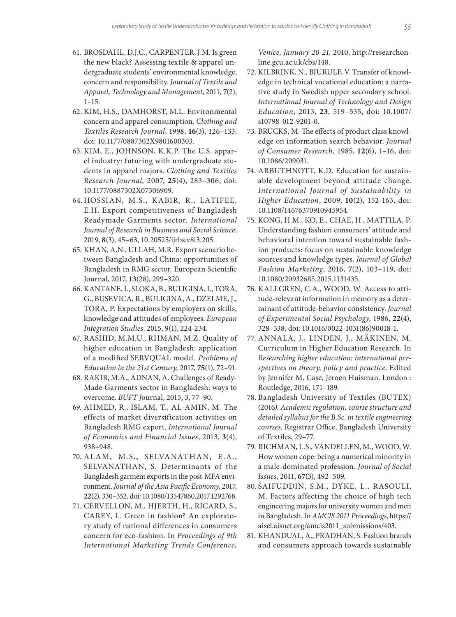- 61. BROSDAHL, D.J.C., CARPENTER, J.M. Is green the new black? Assessing textile & apparel undergraduate students' environmental knowledge, concern and responsibility. *Journal of Textile and Apparel, Technology and Management*, 2011, **7**(2),  $1 - 15$ .
- 62. KIM, H.S., DAMHORST, M.L. Environmental concern and apparel consumption. *Clothing and Textiles Research Journal*, 1998, **16**(3), 126–133, doi: 10.1177/0887302X9801600303.
- 63. KIM, E., JOHNSON, K.K.P. The U.S. apparel industry: futuring with undergraduate students in apparel majors. *Clothing and Textiles Research Journal,* 2007, **25**(4), 283–306, doi: 10.1177/0887302X07306909.
- 64. HOSSIAN, M.S., KABIR, R., LATIFEE, E.H. Export competitiveness of Bangladesh Readymade Garments sector. *International Journal of Research in Business and Social Science*, 2019, **8**(3), 45–63, 10.20525/ijrbs.v8i3.205.
- 65. KHAN, A.N., ULLAH, M.R. Export scenario between Bangladesh and China: opportunities of Bangladesh in RMG sector. European Scientific Journal, 2017, **13**(28), 299–320.
- 66. KANTANE, I., SLOKA, B., BULIGINA, I., TORA, G., BUSEVICA, R., BULIGINA, A., DZELME, J., TORA, P. Expectations by employers on skills, knowledge and attitudes of employees. *European Integration Studies*, 2015, 9(1), 224-234.
- 67. RASHID, M.M.U., RHMAN, M.Z. Quality of higher education in Bangladesh: application of a modified SERVQUAL model. *Problems of Education in the 21st Century,* 2017, **75**(1), 72–91.
- 68. RAKIB, M.A., ADNAN, A. Challenges of Ready-Made Garments sector in Bangladesh: ways to overcome. *BUFT J*ournal, 2015, 3, 77–90.
- 69. AHMED, R., ISLAM, T., AL-AMIN, M. The effects of market diversification activities on Bangladesh RMG export. *International Journal of Economics and Financial Issues*, 2013, **3**(4), 938–948.
- 70. ALAM, M.S., SELVANATHAN, E.A., SELVANATHAN, S. Determinants of the Bangladesh garment exports in the post-MFA environment. *Journal of the Asia Pacific Economy*, 2017, **22**(2), 330–352, doi: 10.1080/13547860.2017.1292768.
- 71. CERVELLON, M., HJERTH, H., RICARD, S., CAREY, L. Green in fashion? An exploratory study of national differences in consumers concern for eco-fashion. In *Proceedings of 9th International Marketing Trends Conference,*

*Venice, January 20-21,* 2010, http://researchonline.gcu.ac.uk/cbs/148.

- 72. KILBRINK, N., BJURULF, V. Transfer of knowledge in technical vocational education: a narrative study in Swedish upper secondary school. *International Journal of Technology and Design Education*, 2013, **23**, 519–535, doi: 10.1007/ s10798-012-9201-0.
- 73. BRUCKS, M. The effects of product class knowledge on information search behavior. *Journal of Consumer Research*, 1985, **12**(6), 1–16, doi: 10.1086/209031.
- 74. ARBUTHNOTT, K.D. Education for sustainable development beyond attitude change. *International Journal of Sustainability in Higher Education*, 2009, **10**(2), 152-163, doi: 10.1108/14676370910945954.
- 75. KONG, H.M., KO, E., CHAE, H., MATTILA, P. Understanding fashion consumers' attitude and behavioral intention toward sustainable fashion products: focus on sustainable knowledge sources and knowledge types. *Journal of Global Fashion Marketing*, 2016, **7**(2), 103–119, doi: 10.1080/20932685.2015.1131435.
- 76. KALLGREN, C.A., WOOD, W. Access to attitude-relevant information in memory as a determinant of attitude-behavior consistency. *Journal of Experimental Social Psychology*, 1986, **22**(4), 328–338, doi: 10.1016/0022-1031(86)90018-1.
- 77. ANNALA, J., LINDEN, J., MÄKINEN, M. Curriculum in Higher Education Research. In *Researching higher education: international perspectives on theory, policy and practice*. Edited by Jennifer M. Case, Jeroen Huisman. London : Routledge, 2016, 171–189.
- 78. Bangladesh University of Textiles (BUTEX) (2016*). Academic regulation, course structure and detailed syllabus for the B.Sc. in textile engineering courses*. Registrar Office, Bangladesh University of Textiles, 29–77.
- 79. RICHMAN, L.S., VANDELLEN, M., WOOD, W. How women cope: being a numerical minority in a male-dominated profession*. Journal of Social Issues*, 2011, **67**(3), 492–509.
- 80. SAIFUDDIN, S.M., DYKE, L., RASOULI, M. Factors affecting the choice of high tech engineering majors for university women and men in Bangladesh. In *AMCIS 2011 Proceedings*, https:// aisel.aisnet.org/amcis2011\_submissions/403.
- 81. KHANDUAL, A., PRADHAN, S. Fashion brands and consumers approach towards sustainable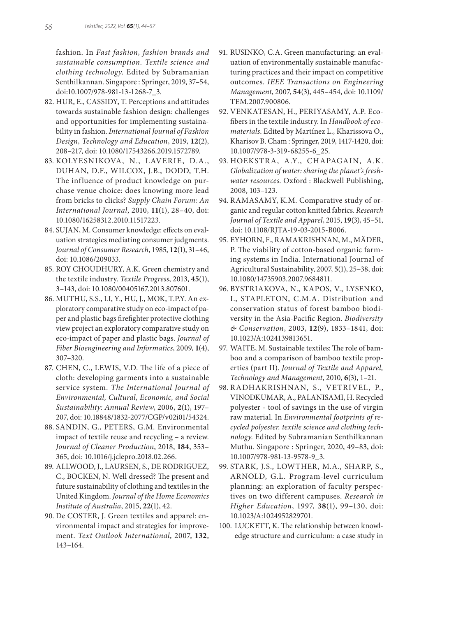fashion. In *Fast fashion, fashion brands and sustainable consumption. Textile science and clothing technology*. Edited by Subramanian Senthilkannan. Singapore : Springer, 2019, 37–54, doi:10.1007/978-981-13-1268-7\_3.

- 82. HUR, E., CASSIDY, T. Perceptions and attitudes towards sustainable fashion design: challenges and opportunities for implementing sustainability in fashion. *International Journal of Fashion Design, Technology and Education*, 2019, **12**(2), 208–217, doi: 10.1080/17543266.2019.1572789.
- 83. KOLYESNIKOVA, N., LAVERIE, D.A., DUHAN, D.F., WILCOX, J.B., DODD, T.H. The influence of product knowledge on purchase venue choice: does knowing more lead from bricks to clicks? *Supply Chain Forum: An International Journal*, 2010, **11**(1), 28–40, doi: 10.1080/16258312.2010.11517223.
- 84. SUJAN, M. Consumer knowledge: effects on evaluation strategies mediating consumer judgments. *Journal of Consumer Research*, 1985, **12**(1), 31–46, doi: 10.1086/209033.
- 85. ROY CHOUDHURY, A.K. Green chemistry and the textile industry. *Textile Progress*, 2013, **45**(1), 3–143, doi: 10.1080/00405167.2013.807601.
- 86. MUTHU, S.S., LI, Y., HU, J., MOK, T.P.Y. An exploratory comparative study on eco-impact of paper and plastic bags firefighter protective clothing view project an exploratory comparative study on eco-impact of paper and plastic bags. *Journal of Fiber Bioengineering and Informatics*, 2009, **1**(4), 307–320.
- 87. CHEN, C., LEWIS, V.D. The life of a piece of cloth: developing garments into a sustainable service system. *The International Journal of Environmental, Cultural, Economic, and Social Sustainability: Annual Review*, 2006, **2**(1), 197– 207, doi: 10.18848/1832-2077/CGP/v02i01/54324.
- 88. SANDIN, G., PETERS, G.M. Environmental impact of textile reuse and recycling – a review. *Journal of Cleaner Production*, 2018, **184**, 353– 365, doi: 10.1016/j.jclepro.2018.02.266.
- 89. ALLWOOD, J., LAURSEN, S., DE RODRIGUEZ, C., BOCKEN, N. Well dressed? The present and future sustainability of clothing and textiles in the United Kingdom. *Journal of the Home Economics Institute of Australia*, 2015, **22**(1), 42.
- 90. De COSTER, J. Green textiles and apparel: environmental impact and strategies for improvement. *Text Outlook International*, 2007, **132**, 143–164.
- 91. RUSINKO, C.A. Green manufacturing: an evaluation of environmentally sustainable manufacturing practices and their impact on competitive outcomes. *IEEE Transactions on Engineering Management*, 2007, **54**(3), 445–454, doi: 10.1109/ TEM.2007.900806.
- 92. VENKATESAN, H., PERIYASAMY, A.P. Ecofibers in the textile industry. In *Handbook of ecomaterials*. Edited by Martínez L., Kharissova O., Kharisov B. Cham : Springer, 2019, 1417-1420, doi: 10.1007/978-3-319-68255-6\_25.
- 93. HOEKSTRA, A.Y., CHAPAGAIN, A.K. *Globalization of water: sharing the planet's freshwater resources.* Oxford : Blackwell Publishing, 2008, 103–123.
- 94. RAMASAMY, K.M. Comparative study of organic and regular cotton knitted fabrics. *Research Journal of Textile and Apparel*, 2015, **19**(3), 45–51, doi: 10.1108/RJTA-19-03-2015-B006.
- 95. EYHORN, F., RAMAKRISHNAN, M., MÄDER, P. The viability of cotton-based organic farming systems in India. International Journal of Agricultural Sustainability, 2007, **5**(1), 25–38, doi: 10.1080/14735903.2007.9684811.
- 96. BYSTRIAKOVA, N., KAPOS, V., LYSENKO, I., STAPLETON, C.M.A. Distribution and conservation status of forest bamboo biodiversity in the Asia-Pacific Region. *Biodiversity & Conservation*, 2003, **12**(9), 1833–1841, doi: 10.1023/A:1024139813651.
- 97. WAITE, M. Sustainable textiles: The role of bamboo and a comparison of bamboo textile properties (part II). *Journal of Textile and Apparel, Technology and Management*, 2010, **6**(3), 1–21.
- 98. RADHAKRISHNAN, S., VETRIVEL, P., VINODKUMAR, A., PALANISAMI, H. Recycled polyester - tool of savings in the use of virgin raw material. In *Environmental footprints of recycled polyester. textile science and clothing technology*. Edited by Subramanian Senthilkannan Muthu. Singapore : Springer, 2020, 49–83, doi: 10.1007/978-981-13-9578-9\_3.
- 99. STARK, J.S., LOWTHER, M.A., SHARP, S., ARNOLD, G.L. Program-level curriculum planning: an exploration of faculty perspectives on two different campuses. *Research in Higher Education*, 1997, **38**(1), 99–130, doi: 10.1023/A:1024952829701.
- 100. LUCKETT, K. The relationship between knowledge structure and curriculum: a case study in